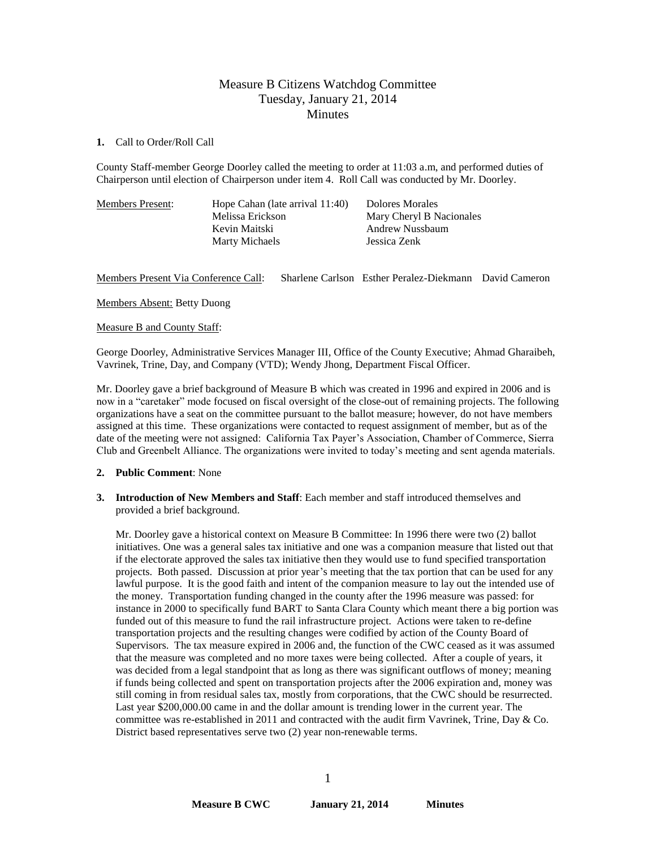# Measure B Citizens Watchdog Committee Tuesday, January 21, 2014 **Minutes**

#### **1.** Call to Order/Roll Call

County Staff-member George Doorley called the meeting to order at 11:03 a.m, and performed duties of Chairperson until election of Chairperson under item 4. Roll Call was conducted by Mr. Doorley.

| <b>Members Present:</b> | Hope Cahan (late arrival 11:40)<br>Melissa Erickson<br>Kevin Maitski<br><b>Marty Michaels</b> | Dolores Morales<br>Mary Cheryl B Nacionales<br>Andrew Nussbaum<br>Jessica Zenk |
|-------------------------|-----------------------------------------------------------------------------------------------|--------------------------------------------------------------------------------|
|                         |                                                                                               |                                                                                |

## Members Present Via Conference Call: Sharlene Carlson Esther Peralez-Diekmann David Cameron

Members Absent: Betty Duong

#### Measure B and County Staff:

George Doorley, Administrative Services Manager III, Office of the County Executive; Ahmad Gharaibeh, Vavrinek, Trine, Day, and Company (VTD); Wendy Jhong, Department Fiscal Officer.

Mr. Doorley gave a brief background of Measure B which was created in 1996 and expired in 2006 and is now in a "caretaker" mode focused on fiscal oversight of the close-out of remaining projects. The following organizations have a seat on the committee pursuant to the ballot measure; however, do not have members assigned at this time. These organizations were contacted to request assignment of member, but as of the date of the meeting were not assigned: California Tax Payer's Association, Chamber of Commerce, Sierra Club and Greenbelt Alliance. The organizations were invited to today's meeting and sent agenda materials.

#### **2. Public Comment**: None

**3. Introduction of New Members and Staff**: Each member and staff introduced themselves and provided a brief background.

Mr. Doorley gave a historical context on Measure B Committee: In 1996 there were two (2) ballot initiatives. One was a general sales tax initiative and one was a companion measure that listed out that if the electorate approved the sales tax initiative then they would use to fund specified transportation projects. Both passed. Discussion at prior year's meeting that the tax portion that can be used for any lawful purpose. It is the good faith and intent of the companion measure to lay out the intended use of the money. Transportation funding changed in the county after the 1996 measure was passed: for instance in 2000 to specifically fund BART to Santa Clara County which meant there a big portion was funded out of this measure to fund the rail infrastructure project. Actions were taken to re-define transportation projects and the resulting changes were codified by action of the County Board of Supervisors. The tax measure expired in 2006 and, the function of the CWC ceased as it was assumed that the measure was completed and no more taxes were being collected. After a couple of years, it was decided from a legal standpoint that as long as there was significant outflows of money; meaning if funds being collected and spent on transportation projects after the 2006 expiration and, money was still coming in from residual sales tax, mostly from corporations, that the CWC should be resurrected. Last year \$200,000.00 came in and the dollar amount is trending lower in the current year. The committee was re-established in 2011 and contracted with the audit firm Vavrinek, Trine, Day & Co. District based representatives serve two (2) year non-renewable terms.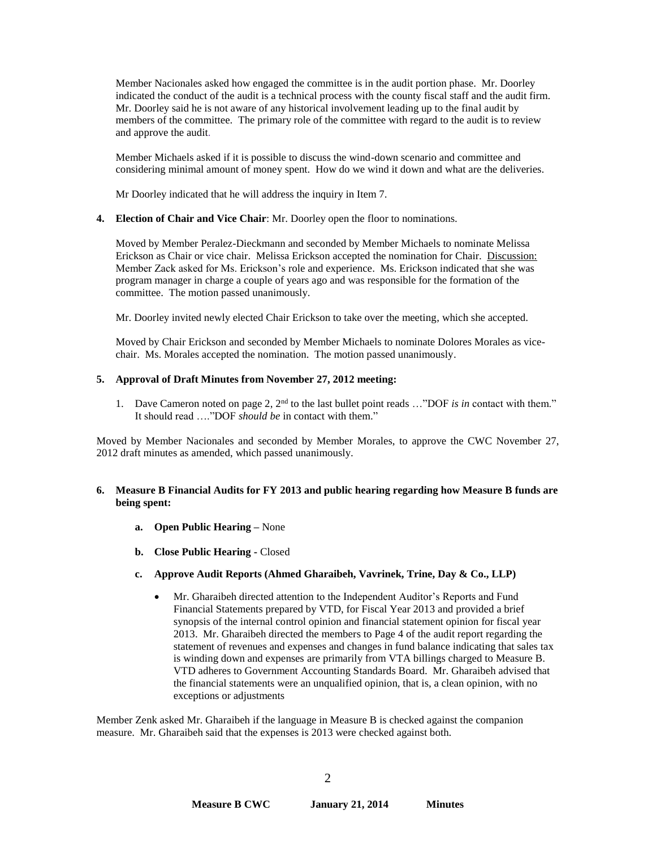Member Nacionales asked how engaged the committee is in the audit portion phase. Mr. Doorley indicated the conduct of the audit is a technical process with the county fiscal staff and the audit firm. Mr. Doorley said he is not aware of any historical involvement leading up to the final audit by members of the committee. The primary role of the committee with regard to the audit is to review and approve the audit.

Member Michaels asked if it is possible to discuss the wind-down scenario and committee and considering minimal amount of money spent. How do we wind it down and what are the deliveries.

Mr Doorley indicated that he will address the inquiry in Item 7.

## **4. Election of Chair and Vice Chair**: Mr. Doorley open the floor to nominations.

Moved by Member Peralez-Dieckmann and seconded by Member Michaels to nominate Melissa Erickson as Chair or vice chair. Melissa Erickson accepted the nomination for Chair. Discussion: Member Zack asked for Ms. Erickson's role and experience. Ms. Erickson indicated that she was program manager in charge a couple of years ago and was responsible for the formation of the committee. The motion passed unanimously.

Mr. Doorley invited newly elected Chair Erickson to take over the meeting, which she accepted.

Moved by Chair Erickson and seconded by Member Michaels to nominate Dolores Morales as vicechair. Ms. Morales accepted the nomination. The motion passed unanimously.

## **5. Approval of Draft Minutes from November 27, 2012 meeting:**

1. Dave Cameron noted on page 2, 2nd to the last bullet point reads …"DOF *is in* contact with them." It should read …."DOF *should be* in contact with them."

Moved by Member Nacionales and seconded by Member Morales, to approve the CWC November 27, 2012 draft minutes as amended, which passed unanimously.

## **6. Measure B Financial Audits for FY 2013 and public hearing regarding how Measure B funds are being spent:**

- **a. Open Public Hearing –** None
- **b. Close Public Hearing -** Closed
- **c. Approve Audit Reports (Ahmed Gharaibeh, Vavrinek, Trine, Day & Co., LLP)**
	- Mr. Gharaibeh directed attention to the Independent Auditor's Reports and Fund Financial Statements prepared by VTD, for Fiscal Year 2013 and provided a brief synopsis of the internal control opinion and financial statement opinion for fiscal year 2013. Mr. Gharaibeh directed the members to Page 4 of the audit report regarding the statement of revenues and expenses and changes in fund balance indicating that sales tax is winding down and expenses are primarily from VTA billings charged to Measure B. VTD adheres to Government Accounting Standards Board. Mr. Gharaibeh advised that the financial statements were an unqualified opinion, that is, a clean opinion, with no exceptions or adjustments

Member Zenk asked Mr. Gharaibeh if the language in Measure B is checked against the companion measure. Mr. Gharaibeh said that the expenses is 2013 were checked against both.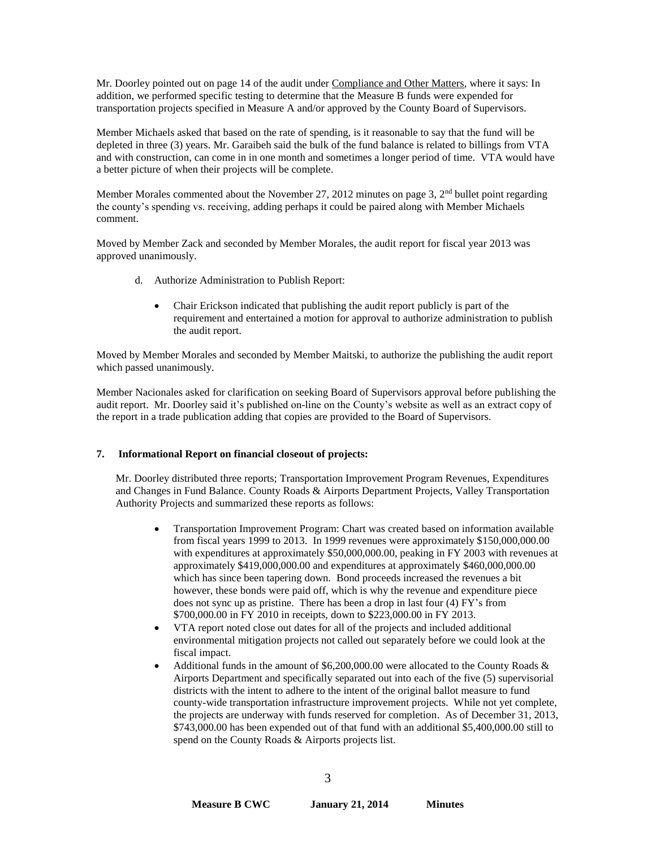Mr. Doorley pointed out on page 14 of the audit under Compliance and Other Matters, where it says: In addition, we performed specific testing to determine that the Measure B funds were expended for transportation projects specified in Measure A and/or approved by the County Board of Supervisors.

Member Michaels asked that based on the rate of spending, is it reasonable to say that the fund will be depleted in three (3) years. Mr. Garaibeh said the bulk of the fund balance is related to billings from VTA and with construction, can come in in one month and sometimes a longer period of time. VTA would have a better picture of when their projects will be complete.

Member Morales commented about the November 27, 2012 minutes on page 3, 2<sup>nd</sup> bullet point regarding the county's spending vs. receiving, adding perhaps it could be paired along with Member Michaels comment.

Moved by Member Zack and seconded by Member Morales, the audit report for fiscal year 2013 was approved unanimously.

- d. Authorize Administration to Publish Report:
	- Chair Erickson indicated that publishing the audit report publicly is part of the requirement and entertained a motion for approval to authorize administration to publish the audit report.

Moved by Member Morales and seconded by Member Maitski, to authorize the publishing the audit report which passed unanimously.

Member Nacionales asked for clarification on seeking Board of Supervisors approval before publishing the audit report. Mr. Doorley said it's published on-line on the County's website as well as an extract copy of the report in a trade publication adding that copies are provided to the Board of Supervisors.

# **7. Informational Report on financial closeout of projects:**

Mr. Doorley distributed three reports; Transportation Improvement Program Revenues, Expenditures and Changes in Fund Balance. County Roads & Airports Department Projects, Valley Transportation Authority Projects and summarized these reports as follows:

- Transportation Improvement Program: Chart was created based on information available from fiscal years 1999 to 2013. In 1999 revenues were approximately \$150,000,000.00 with expenditures at approximately \$50,000,000.00, peaking in FY 2003 with revenues at approximately \$419,000,000.00 and expenditures at approximately \$460,000,000.00 which has since been tapering down. Bond proceeds increased the revenues a bit however, these bonds were paid off, which is why the revenue and expenditure piece does not sync up as pristine. There has been a drop in last four (4) FY's from \$700,000.00 in FY 2010 in receipts, down to \$223,000.00 in FY 2013.
- VTA report noted close out dates for all of the projects and included additional environmental mitigation projects not called out separately before we could look at the fiscal impact.
- Additional funds in the amount of \$6,200,000.00 were allocated to the County Roads & Airports Department and specifically separated out into each of the five (5) supervisorial districts with the intent to adhere to the intent of the original ballot measure to fund county-wide transportation infrastructure improvement projects. While not yet complete, the projects are underway with funds reserved for completion. As of December 31, 2013, \$743,000.00 has been expended out of that fund with an additional \$5,400,000.00 still to spend on the County Roads & Airports projects list.